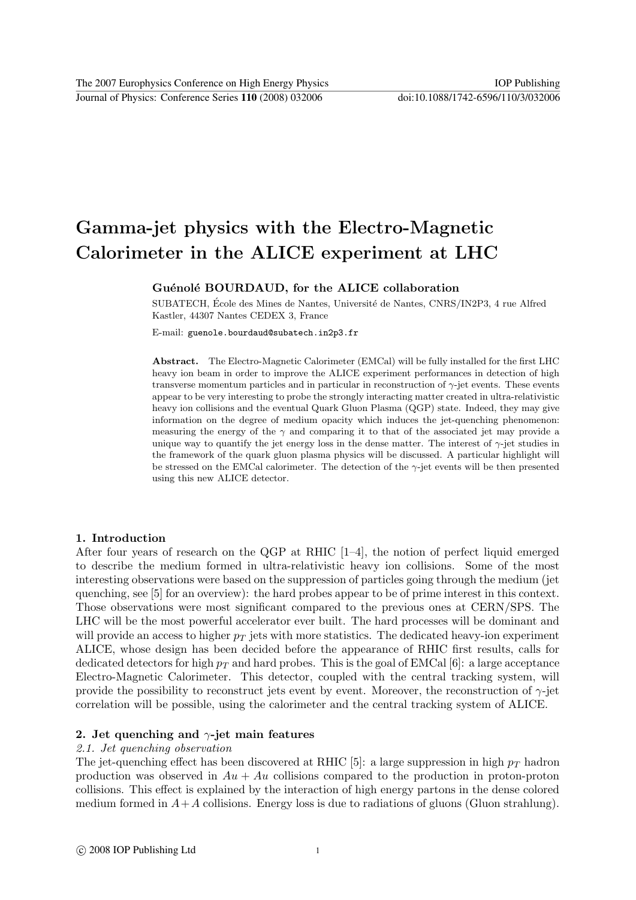Journal of Physics: Conference Series **110** (2008) 032006 doi:10.1088/1742-6596/110/3/032006

# Gamma-jet physics with the Electro-Magnetic Calorimeter in the ALICE experiment at LHC

## Guénolé BOURDAUD, for the ALICE collaboration

SUBATECH, École des Mines de Nantes, Université de Nantes, CNRS/IN2P3, 4 rue Alfred Kastler, 44307 Nantes CEDEX 3, France

E-mail: guenole.bourdaud@subatech.in2p3.fr

Abstract. The Electro-Magnetic Calorimeter (EMCal) will be fully installed for the first LHC heavy ion beam in order to improve the ALICE experiment performances in detection of high transverse momentum particles and in particular in reconstruction of  $\gamma$ -jet events. These events appear to be very interesting to probe the strongly interacting matter created in ultra-relativistic heavy ion collisions and the eventual Quark Gluon Plasma (QGP) state. Indeed, they may give information on the degree of medium opacity which induces the jet-quenching phenomenon: measuring the energy of the  $\gamma$  and comparing it to that of the associated jet may provide a unique way to quantify the jet energy loss in the dense matter. The interest of  $\gamma$ -jet studies in the framework of the quark gluon plasma physics will be discussed. A particular highlight will be stressed on the EMCal calorimeter. The detection of the  $\gamma$ -jet events will be then presented using this new ALICE detector.

#### 1. Introduction

After four years of research on the QGP at RHIC [1–4], the notion of perfect liquid emerged to describe the medium formed in ultra-relativistic heavy ion collisions. Some of the most interesting observations were based on the suppression of particles going through the medium (jet quenching, see [5] for an overview): the hard probes appear to be of prime interest in this context. Those observations were most significant compared to the previous ones at CERN/SPS. The LHC will be the most powerful accelerator ever built. The hard processes will be dominant and will provide an access to higher  $p_T$  jets with more statistics. The dedicated heavy-ion experiment ALICE, whose design has been decided before the appearance of RHIC first results, calls for dedicated detectors for high  $p_T$  and hard probes. This is the goal of EMCal [6]: a large acceptance Electro-Magnetic Calorimeter. This detector, coupled with the central tracking system, will provide the possibility to reconstruct jets event by event. Moreover, the reconstruction of  $\gamma$ -jet correlation will be possible, using the calorimeter and the central tracking system of ALICE.

#### 2. Jet quenching and  $\gamma$ -jet main features

## 2.1. Jet quenching observation

The jet-quenching effect has been discovered at RHIC [5]: a large suppression in high  $p_T$  hadron production was observed in  $Au + Au$  collisions compared to the production in proton-proton collisions. This effect is explained by the interaction of high energy partons in the dense colored medium formed in  $A+A$  collisions. Energy loss is due to radiations of gluons (Gluon strahlung).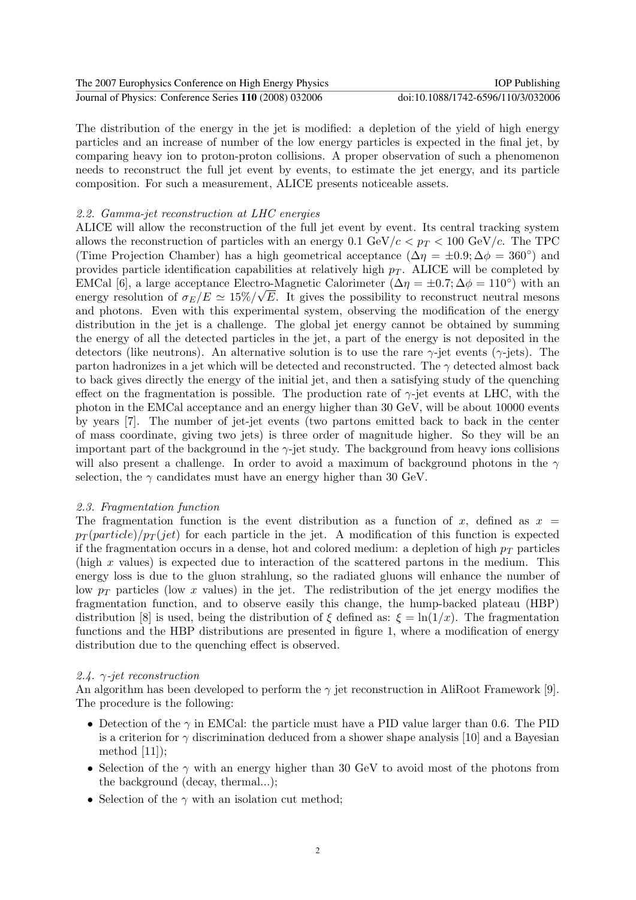| The 2007 Europhysics Conference on High Energy Physics  | <b>IOP</b> Publishing              |
|---------------------------------------------------------|------------------------------------|
| Journal of Physics: Conference Series 110 (2008) 032006 | doi:10.1088/1742-6596/110/3/032006 |

The distribution of the energy in the jet is modified: a depletion of the yield of high energy particles and an increase of number of the low energy particles is expected in the final jet, by comparing heavy ion to proton-proton collisions. A proper observation of such a phenomenon needs to reconstruct the full jet event by events, to estimate the jet energy, and its particle composition. For such a measurement, ALICE presents noticeable assets.

## 2.2. Gamma-jet reconstruction at LHC energies

ALICE will allow the reconstruction of the full jet event by event. Its central tracking system allows the reconstruction of particles with an energy 0.1 GeV/c  $p_T < 100$  GeV/c. The TPC (Time Projection Chamber) has a high geometrical acceptance  $(\Delta \eta = \pm 0.9; \Delta \phi = 360^{\circ})$  and provides particle identification capabilities at relatively high  $p<sub>T</sub>$ . ALICE will be completed by EMCal [6], a large acceptance Electro-Magnetic Calorimeter  $(\Delta \eta = \pm 0.7; \Delta \phi = 110^{\circ})$  with an energy resolution of  $\sigma_E/E \simeq 15\%/\sqrt{E}$ . It gives the possibility to reconstruct neutral mesons and photons. Even with this experimental system, observing the modification of the energy distribution in the jet is a challenge. The global jet energy cannot be obtained by summing the energy of all the detected particles in the jet, a part of the energy is not deposited in the detectors (like neutrons). An alternative solution is to use the rare  $\gamma$ -jet events ( $\gamma$ -jets). The parton hadronizes in a jet which will be detected and reconstructed. The  $\gamma$  detected almost back to back gives directly the energy of the initial jet, and then a satisfying study of the quenching effect on the fragmentation is possible. The production rate of  $\gamma$ -jet events at LHC, with the photon in the EMCal acceptance and an energy higher than 30 GeV, will be about 10000 events by years [7]. The number of jet-jet events (two partons emitted back to back in the center of mass coordinate, giving two jets) is three order of magnitude higher. So they will be an important part of the background in the  $\gamma$ -jet study. The background from heavy ions collisions will also present a challenge. In order to avoid a maximum of background photons in the  $\gamma$ selection, the  $\gamma$  candidates must have an energy higher than 30 GeV.

## 2.3. Fragmentation function

The fragmentation function is the event distribution as a function of x, defined as  $x =$  $p_T(\text{particle})/p_T(\text{jet})$  for each particle in the jet. A modification of this function is expected if the fragmentation occurs in a dense, hot and colored medium: a depletion of high  $p_T$  particles (high  $x$  values) is expected due to interaction of the scattered partons in the medium. This energy loss is due to the gluon strahlung, so the radiated gluons will enhance the number of low  $p_T$  particles (low x values) in the jet. The redistribution of the jet energy modifies the fragmentation function, and to observe easily this change, the hump-backed plateau (HBP) distribution [8] is used, being the distribution of  $\xi$  defined as:  $\xi = \ln(1/x)$ . The fragmentation functions and the HBP distributions are presented in figure 1, where a modification of energy distribution due to the quenching effect is observed.

## 2.4.  $\gamma$ -jet reconstruction

An algorithm has been developed to perform the  $\gamma$  jet reconstruction in AliRoot Framework [9]. The procedure is the following:

- Detection of the  $\gamma$  in EMCal: the particle must have a PID value larger than 0.6. The PID is a criterion for  $\gamma$  discrimination deduced from a shower shape analysis [10] and a Bayesian method  $[11]$ ;
- Selection of the  $\gamma$  with an energy higher than 30 GeV to avoid most of the photons from the background (decay, thermal...);
- Selection of the  $\gamma$  with an isolation cut method;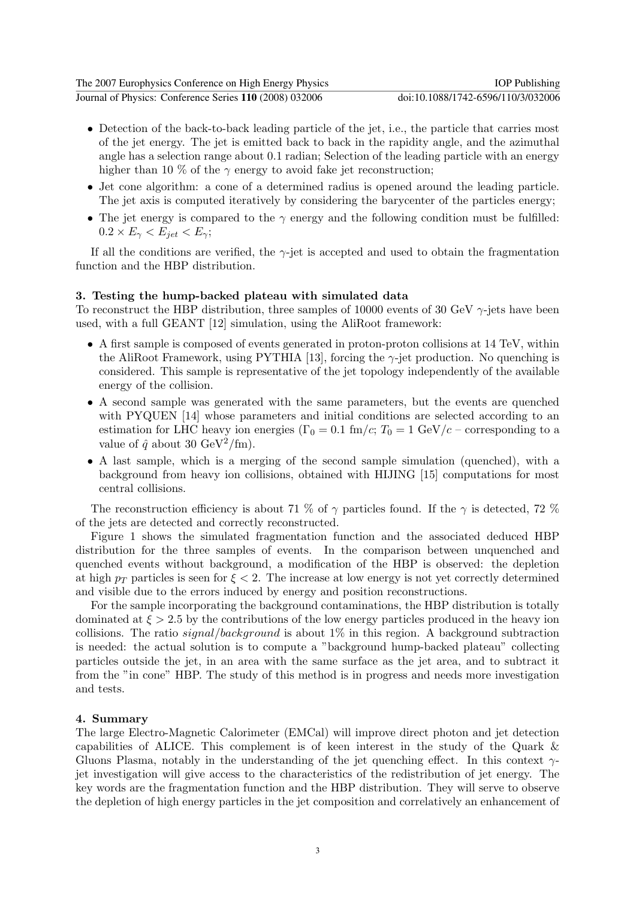| The 2007 Europhysics Conference on High Energy Physics  | <b>IOP</b> Publishing              |
|---------------------------------------------------------|------------------------------------|
| Journal of Physics: Conference Series 110 (2008) 032006 | doi:10.1088/1742-6596/110/3/032006 |

- Detection of the back-to-back leading particle of the jet, i.e., the particle that carries most of the jet energy. The jet is emitted back to back in the rapidity angle, and the azimuthal angle has a selection range about 0.1 radian; Selection of the leading particle with an energy higher than 10 % of the  $\gamma$  energy to avoid fake jet reconstruction;
- Jet cone algorithm: a cone of a determined radius is opened around the leading particle. The jet axis is computed iteratively by considering the barycenter of the particles energy;
- The jet energy is compared to the  $\gamma$  energy and the following condition must be fulfilled:  $0.2 \times E_{\gamma} < E_{jet} < E_{\gamma}$ ;

If all the conditions are verified, the  $\gamma$ -jet is accepted and used to obtain the fragmentation function and the HBP distribution.

### 3. Testing the hump-backed plateau with simulated data

To reconstruct the HBP distribution, three samples of 10000 events of 30 GeV  $\gamma$ -jets have been used, with a full GEANT [12] simulation, using the AliRoot framework:

- A first sample is composed of events generated in proton-proton collisions at 14 TeV, within the AliRoot Framework, using PYTHIA [13], forcing the  $\gamma$ -jet production. No quenching is considered. This sample is representative of the jet topology independently of the available energy of the collision.
- A second sample was generated with the same parameters, but the events are quenched with PYQUEN [14] whose parameters and initial conditions are selected according to an estimation for LHC heavy ion energies ( $\Gamma_0 = 0.1$  fm/c;  $T_0 = 1$  GeV/c – corresponding to a value of  $\hat{q}$  about 30 GeV<sup>2</sup>/fm).
- A last sample, which is a merging of the second sample simulation (quenched), with a background from heavy ion collisions, obtained with HIJING [15] computations for most central collisions.

The reconstruction efficiency is about 71 % of  $\gamma$  particles found. If the  $\gamma$  is detected, 72 % of the jets are detected and correctly reconstructed.

Figure 1 shows the simulated fragmentation function and the associated deduced HBP distribution for the three samples of events. In the comparison between unquenched and quenched events without background, a modification of the HBP is observed: the depletion at high  $p_T$  particles is seen for  $\xi < 2$ . The increase at low energy is not yet correctly determined and visible due to the errors induced by energy and position reconstructions.

For the sample incorporating the background contaminations, the HBP distribution is totally dominated at  $\xi > 2.5$  by the contributions of the low energy particles produced in the heavy ion collisions. The ratio signal/background is about  $1\%$  in this region. A background subtraction is needed: the actual solution is to compute a "background hump-backed plateau" collecting particles outside the jet, in an area with the same surface as the jet area, and to subtract it from the "in cone" HBP. The study of this method is in progress and needs more investigation and tests.

#### 4. Summary

The large Electro-Magnetic Calorimeter (EMCal) will improve direct photon and jet detection capabilities of ALICE. This complement is of keen interest in the study of the Quark & Gluons Plasma, notably in the understanding of the jet quenching effect. In this context  $\gamma$ jet investigation will give access to the characteristics of the redistribution of jet energy. The key words are the fragmentation function and the HBP distribution. They will serve to observe the depletion of high energy particles in the jet composition and correlatively an enhancement of